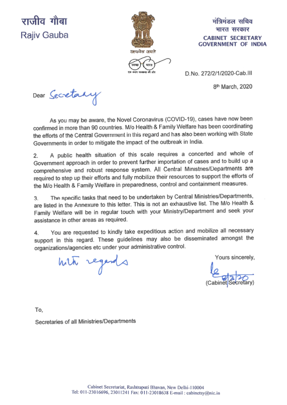# राजीव गौबा Rajiv Gauba



## मंत्रिमंडल सचिव भारत सरकार **CABINET SECRETARY GOVERNMENT OF INDIA**

D.No. 272/2/1/2020-Cab.III

8<sup>th</sup> March, 2020

Dear Secretary

As you may be aware, the Novel Coronavirus (COVID-19), cases have now been confirmed in more than 90 countries. M/o Health & Family Welfare has been coordinating the efforts of the Central Government in this regard and has also been working with State Governments in order to mitigate the impact of the outbreak in India.

A public health situation of this scale requires a concerted and whole of  $2.$ Government approach in order to prevent further importation of cases and to build up a comprehensive and robust response system. All Central Ministries/Departments are required to step up their efforts and fully mobilize their resources to support the efforts of the M/o Health & Family Welfare in preparedness, control and containment measures.

The specific tasks that need to be undertaken by Central Ministries/Departments, 3 are listed in the Annexure to this letter. This is not an exhaustive list. The M/o Health & Family Welfare will be in regular touch with your Ministry/Department and seek your assistance in other areas as required.

You are requested to kindly take expeditious action and mobilize all necessary 4 support in this regard. These guidelines may also be disseminated amongst the organizations/agencies etc under your administrative control.

with regards

Yours sincerely.

To.

Secretaries of all Ministries/Departments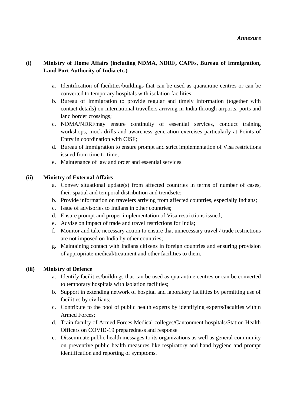## **(i) Ministry of Home Affairs (including NDMA, NDRF, CAPFs, Bureau of Immigration, Land Port Authority of India etc.)**

- a. Identification of facilities/buildings that can be used as quarantine centres or can be converted to temporary hospitals with isolation facilities;
- b. Bureau of Immigration to provide regular and timely information (together with contact details) on international travellers arriving in India through airports, ports and land border crossings;
- c. NDMA/NDRFmay ensure continuity of essential services, conduct training workshops, mock-drills and awareness generation exercises particularly at Points of Entry in coordination with CISF;
- d. Bureau of Immigration to ensure prompt and strict implementation of Visa restrictions issued from time to time;
- e. Maintenance of law and order and essential services.

## **(ii) Ministry of External Affairs**

- a. Convey situational update(s) from affected countries in terms of number of cases, their spatial and temporal distribution and trendsetc;
- b. Provide information on travelers arriving from affected countries, especially Indians;
- c. Issue of advisories to Indians in other countries;
- d. Ensure prompt and proper implementation of Visa restrictions issued;
- e. Advise on impact of trade and travel restrictions for India;
- f. Monitor and take necessary action to ensure that unnecessary travel / trade restrictions are not imposed on India by other countries;
- g. Maintaining contact with Indians citizens in foreign countries and ensuring provision of appropriate medical/treatment and other facilities to them.

## **(iii) Ministry of Defence**

- a. Identify facilities/buildings that can be used as quarantine centres or can be converted to temporary hospitals with isolation facilities;
- b. Support in extending network of hospital and laboratory facilities by permitting use of facilities by civilians;
- c. Contribute to the pool of public health experts by identifying experts/faculties within Armed Forces;
- d. Train faculty of Armed Forces Medical colleges/Cantonment hospitals/Station Health Officers on COVID-19 preparedness and response
- e. Disseminate public health messages to its organizations as well as general community on preventive public health measures like respiratory and hand hygiene and prompt identification and reporting of symptoms.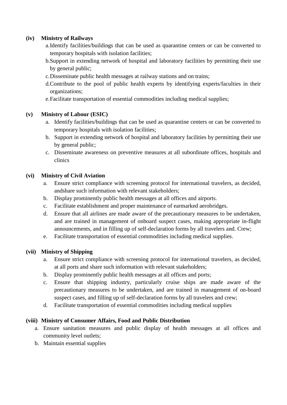## **(iv) Ministry of Railways**

- a.Identify facilities/buildings that can be used as quarantine centers or can be converted to temporary hospitals with isolation facilities;
- b.Support in extending network of hospital and laboratory facilities by permitting their use by general public;
- c.Disseminate public health messages at railway stations and on trains;
- d.Contribute to the pool of public health experts by identifying experts/faculties in their organizations;
- e.Facilitate transportation of essential commodities including medical supplies;

## **(v) Ministry of Labour (ESIC)**

- a. Identify facilities/buildings that can be used as quarantine centers or can be converted to temporary hospitals with isolation facilities;
- b. Support in extending network of hospital and laboratory facilities by permitting their use by general public;
- c. Disseminate awareness on preventive measures at all subordinate offices, hospitals and clinics

## **(vi) Ministry of Civil Aviation**

- a. Ensure strict compliance with screening protocol for international travelers, as decided, andshare such information with relevant stakeholders;
- b. Display prominently public health messages at all offices and airports.
- c. Facilitate establishment and proper maintenance of earmarked aerobridges.
- d. Ensure that all airlines are made aware of the precautionary measures to be undertaken, and are trained in management of onboard suspect cases, making appropriate in-flight announcements, and in filling up of self-declaration forms by all travelers and. Crew;
- e. Facilitate transportation of essential commodities including medical supplies.

## **(vii) Ministry of Shipping**

- a. Ensure strict compliance with screening protocol for international travelers, as decided, at all ports and share such information with relevant stakeholders;
- b. Display prominently public health messages at all offices and ports;
- c. Ensure that shipping industry, particularly cruise ships are made aware of the precautionary measures to be undertaken, and are trained in management of on-board suspect cases, and filling up of self-declaration forms by all travelers and crew;
- d. Facilitate transportation of essential commodities including medical supplies

## **(viii) Ministry of Consumer Affairs, Food and Public Distribution**

- a. Ensure sanitation measures and public display of health messages at all offices and community level outlets;
- b. Maintain essential supplies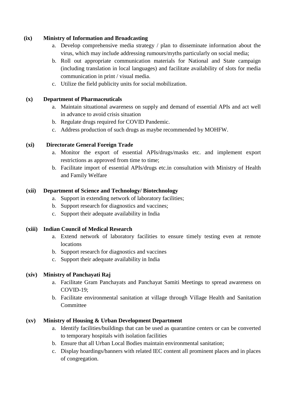#### **(ix) Ministry of Information and Broadcasting**

- a. Develop comprehensive media strategy / plan to disseminate information about the virus, which may include addressing rumours/myths particularly on social media;
- b. Roll out appropriate communication materials for National and State campaign (including translation in local languages) and facilitate availability of slots for media communication in print / visual media.
- c. Utilize the field publicity units for social mobilization.

## **(x) Department of Pharmaceuticals**

- a. Maintain situational awareness on supply and demand of essential APIs and act well in advance to avoid crisis situation
- b. Regulate drugs required for COVID Pandemic.
- c. Address production of such drugs as maybe recommended by MOHFW.

#### **(xi) Directorate General Foreign Trade**

- a. Monitor the export of essential APIs/drugs/masks etc. and implement export restrictions as approved from time to time;
- b. Facilitate import of essential APIs/drugs etc.in consultation with Ministry of Health and Family Welfare

#### **(xii) Department of Science and Technology/ Biotechnology**

- a. Support in extending network of laboratory facilities;
- b. Support research for diagnostics and vaccines;
- c. Support their adequate availability in India

#### **(xiii) Indian Council of Medical Research**

- a. Extend network of laboratory facilities to ensure timely testing even at remote locations
- b. Support research for diagnostics and vaccines
- c. Support their adequate availability in India

## **(xiv) Ministry of Panchayati Raj**

- a. Facilitate Gram Panchayats and Panchayat Samiti Meetings to spread awareness on COVID-19;
- b. Facilitate environmental sanitation at village through Village Health and Sanitation Committee

## **(xv) Ministry of Housing & Urban Development Department**

- a. Identify facilities/buildings that can be used as quarantine centers or can be converted to temporary hospitals with isolation facilities
- b. Ensure that all Urban Local Bodies maintain environmental sanitation;
- c. Display hoardings/banners with related IEC content all prominent places and in places of congregation.